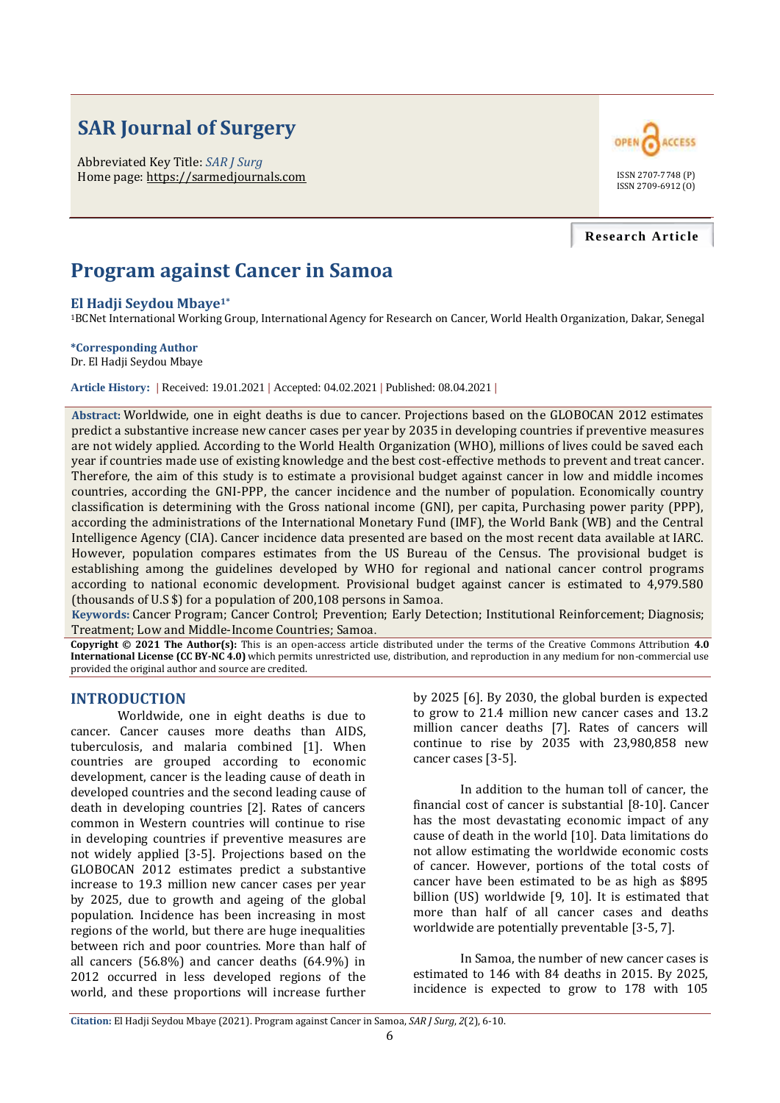# **SAR Journal of Surgery**

Abbreviated Key Title: *SAR J Surg* Home page: https://sarmedjournals.com



#### **Research Article**

## **Program against Cancer in Samoa**

#### **El Hadji Seydou Mbaye1\***

<sup>1</sup>BCNet International Working Group, International Agency for Research on Cancer, World Health Organization, Dakar, Senegal

#### **\*Corresponding Author**

Dr. El Hadji Seydou Mbaye

**Article History: |** Received: 19.01.2021 **|** Accepted: 04.02.2021 **|** Published: 08.04.2021 **|**

**Abstract:** Worldwide, one in eight deaths is due to cancer. Projections based on the GLOBOCAN 2012 estimates predict a substantive increase new cancer cases per year by 2035 in developing countries if preventive measures are not widely applied. According to the World Health Organization (WHO), millions of lives could be saved each year if countries made use of existing knowledge and the best cost-effective methods to prevent and treat cancer. Therefore, the aim of this study is to estimate a provisional budget against cancer in low and middle incomes countries, according the GNI-PPP, the cancer incidence and the number of population. Economically country classification is determining with the Gross national income (GNI), per capita, Purchasing power parity (PPP), according the administrations of the International Monetary Fund (IMF), the World Bank (WB) and the Central Intelligence Agency (CIA). Cancer incidence data presented are based on the most recent data available at IARC. However, population compares estimates from the US Bureau of the Census. The provisional budget is establishing among the guidelines developed by WHO for regional and national cancer control programs according to national economic development. Provisional budget against cancer is estimated to 4,979.580 (thousands of U.S \$) for a population of 200,108 persons in Samoa.

**Keywords:** Cancer Program; Cancer Control; Prevention; Early Detection; Institutional Reinforcement; Diagnosis; Treatment; Low and Middle-Income Countries; Samoa.

**Copyright © 2021 The Author(s):** This is an open-access article distributed under the terms of the Creative Commons Attribution **4.0 International License (CC BY-NC 4.0)** which permits unrestricted use, distribution, and reproduction in any medium for non-commercial use provided the original author and source are credited.

#### **INTRODUCTION**

Worldwide, one in eight deaths is due to cancer. Cancer causes more deaths than AIDS, tuberculosis, and malaria combined [1]. When countries are grouped according to economic development, cancer is the leading cause of death in developed countries and the second leading cause of death in developing countries [2]. Rates of cancers common in Western countries will continue to rise in developing countries if preventive measures are not widely applied [3-5]. Projections based on the GLOBOCAN 2012 estimates predict a substantive increase to 19.3 million new cancer cases per year by 2025, due to growth and ageing of the global population. Incidence has been increasing in most regions of the world, but there are huge inequalities between rich and poor countries. More than half of all cancers (56.8%) and cancer deaths (64.9%) in 2012 occurred in less developed regions of the world, and these proportions will increase further

by 2025 [6]. By 2030, the global burden is expected to grow to 21.4 million new cancer cases and 13.2 million cancer deaths [7]. Rates of cancers will continue to rise by 2035 with 23,980,858 new cancer cases [3-5].

In addition to the human toll of cancer, the financial cost of cancer is substantial [8-10]. Cancer has the most devastating economic impact of any cause of death in the world [10]. Data limitations do not allow estimating the worldwide economic costs of cancer. However, portions of the total costs of cancer have been estimated to be as high as \$895 billion (US) worldwide [9, 10]. It is estimated that more than half of all cancer cases and deaths worldwide are potentially preventable [3-5, 7].

In Samoa, the number of new cancer cases is estimated to 146 with 84 deaths in 2015. By 2025, incidence is expected to grow to 178 with 105

**Citation:** El Hadji Seydou Mbaye (2021). Program against Cancer in Samoa, *SAR J Surg*, *2*(2), 6-10.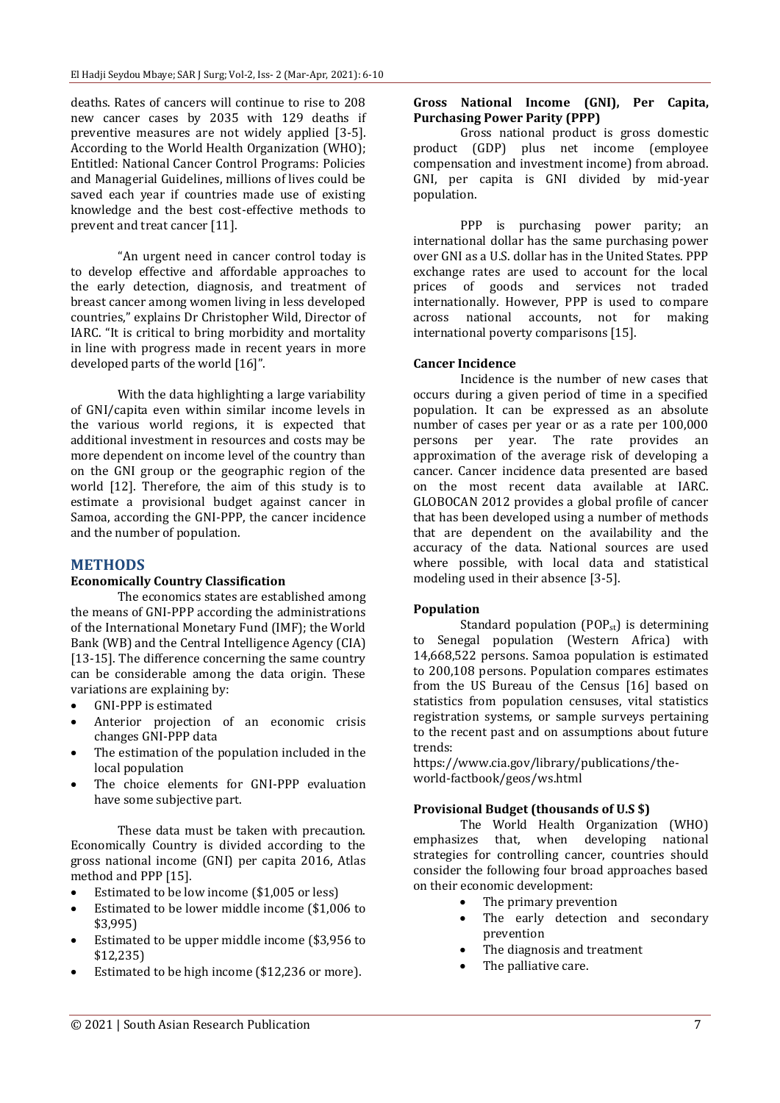deaths. Rates of cancers will continue to rise to 208 new cancer cases by 2035 with 129 deaths if preventive measures are not widely applied [3-5]. According to the World Health Organization (WHO); Entitled: National Cancer Control Programs: Policies and Managerial Guidelines, millions of lives could be saved each year if countries made use of existing knowledge and the best cost-effective methods to prevent and treat cancer [11].

"An urgent need in cancer control today is to develop effective and affordable approaches to the early detection, diagnosis, and treatment of breast cancer among women living in less developed countries," explains Dr Christopher Wild, Director of IARC. "It is critical to bring morbidity and mortality in line with progress made in recent years in more developed parts of the world [16]".

With the data highlighting a large variability of GNI/capita even within similar income levels in the various world regions, it is expected that additional investment in resources and costs may be more dependent on income level of the country than on the GNI group or the geographic region of the world [12]. Therefore, the aim of this study is to estimate a provisional budget against cancer in Samoa, according the GNI-PPP, the cancer incidence and the number of population.

#### **METHODS**

#### **Economically Country Classification**

The economics states are established among the means of GNI-PPP according the administrations of the International Monetary Fund (IMF); the World Bank (WB) and the Central Intelligence Agency (CIA) [13-15]. The difference concerning the same country can be considerable among the data origin. These variations are explaining by:

- GNI-PPP is estimated
- Anterior projection of an economic crisis changes GNI-PPP data
- The estimation of the population included in the local population
- The choice elements for GNI-PPP evaluation have some subjective part.

These data must be taken with precaution. Economically Country is divided according to the gross national income (GNI) per capita 2016, Atlas method and PPP [15].

- Estimated to be low income (\$1,005 or less)
- Estimated to be lower middle income (\$1,006 to \$3,995)
- Estimated to be upper middle income (\$3,956 to \$12,235)
- Estimated to be high income (\$12,236 or more).

#### **Gross National Income (GNI), Per Capita, Purchasing Power Parity (PPP)**

Gross national product is gross domestic product (GDP) plus net income (employee compensation and investment income) from abroad. GNI, per capita is GNI divided by mid-year population.

PPP is purchasing power parity; an international dollar has the same purchasing power over GNI as a U.S. dollar has in the United States. PPP exchange rates are used to account for the local prices of goods and services not traded internationally. However, PPP is used to compare across national accounts, not for making international poverty comparisons [15].

#### **Cancer Incidence**

Incidence is the number of new cases that occurs during a given period of time in a specified population. It can be expressed as an absolute number of cases per year or as a rate per 100,000 persons per year. The rate provides an approximation of the average risk of developing a cancer. Cancer incidence data presented are based on the most recent data available at IARC. GLOBOCAN 2012 provides a global profile of cancer that has been developed using a number of methods that are dependent on the availability and the accuracy of the data. National sources are used where possible, with local data and statistical modeling used in their absence [3-5].

#### **Population**

Standard population  $(POP_{st})$  is determining to Senegal population (Western Africa) with 14,668,522 persons. Samoa population is estimated to 200,108 persons. Population compares estimates from the US Bureau of the Census [16] based on statistics from population censuses, vital statistics registration systems, or sample surveys pertaining to the recent past and on assumptions about future trends:

https://www.cia.gov/library/publications/theworld-factbook/geos/ws.html

#### **Provisional Budget (thousands of U.S \$)**

The World Health Organization (WHO) emphasizes that, when developing national strategies for controlling cancer, countries should consider the following four broad approaches based on their economic development:

- The primary prevention
- The early detection and secondary prevention
- The diagnosis and treatment
- The palliative care.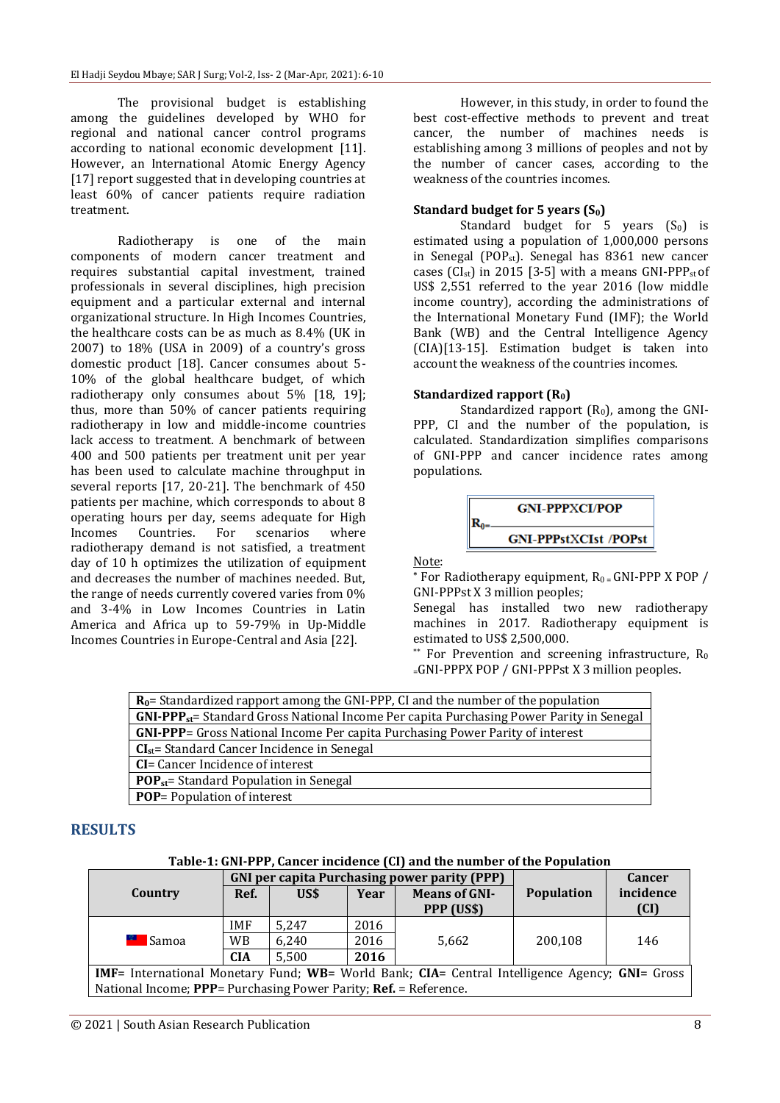The provisional budget is establishing among the guidelines developed by WHO for regional and national cancer control programs according to national economic development [11]. However, an International Atomic Energy Agency [17] report suggested that in developing countries at least 60% of cancer patients require radiation treatment.

Radiotherapy is one of the main components of modern cancer treatment and requires substantial capital investment, trained professionals in several disciplines, high precision equipment and a particular external and internal organizational structure. In High Incomes Countries, the healthcare costs can be as much as 8.4% (UK in 2007) to 18% (USA in 2009) of a country's gross domestic product [18]. Cancer consumes about 5- 10% of the global healthcare budget, of which radiotherapy only consumes about 5% [18, 19]; thus, more than 50% of cancer patients requiring radiotherapy in low and middle-income countries lack access to treatment. A benchmark of between 400 and 500 patients per treatment unit per year has been used to calculate machine throughput in several reports [17, 20-21]. The benchmark of 450 patients per machine, which corresponds to about 8 operating hours per day, seems adequate for High Incomes Countries. For scenarios where radiotherapy demand is not satisfied, a treatment day of 10 h optimizes the utilization of equipment and decreases the number of machines needed. But, the range of needs currently covered varies from 0% and 3-4% in Low Incomes Countries in Latin America and Africa up to 59-79% in Up-Middle Incomes Countries in Europe-Central and Asia [22].

However, in this study, in order to found the best cost-effective methods to prevent and treat cancer, the number of machines needs is establishing among 3 millions of peoples and not by the number of cancer cases, according to the weakness of the countries incomes.

### **Standard budget for 5 years (S0)**

Standard budget for 5 years  $(S_0)$  is estimated using a population of 1,000,000 persons in Senegal (POP<sub>st</sub>). Senegal has 8361 new cancer cases ( $CI<sub>st</sub>$ ) in 2015 [3-5] with a means GNI-PPP<sub>st</sub> of US\$ 2,551 referred to the year 2016 (low middle income country), according the administrations of the International Monetary Fund (IMF); the World Bank (WB) and the Central Intelligence Agency (CIA)[13-15]. Estimation budget is taken into account the weakness of the countries incomes.

#### **Standardized rapport (R0)**

Standardized rapport  $(R_0)$ , among the GNI-PPP, CI and the number of the population, is calculated. Standardization simplifies comparisons of GNI-PPP and cancer incidence rates among populations.



Note:

 $*$  For Radiotherapy equipment,  $R_0 = GNI-PPPX POP /$ GNI-PPPst X 3 million peoples;

Senegal has installed two new radiotherapy machines in 2017. Radiotherapy equipment is estimated to US\$ 2,500,000.

\*\* For Prevention and screening infrastructure,  $R_0$ <sup>=</sup>GNI-PPPX POP / GNI-PPPst X 3 million peoples.

| $R_0$ = Standardized rapport among the GNI-PPP, CI and the number of the population         |
|---------------------------------------------------------------------------------------------|
| $GNI-PPP_{st}$ Standard Gross National Income Per capita Purchasing Power Parity in Senegal |
| GNI-PPP= Gross National Income Per capita Purchasing Power Parity of interest               |
| $CIst$ = Standard Cancer Incidence in Senegal                                               |
| <b>CI</b> = Cancer Incidence of interest                                                    |
| $POPst$ = Standard Population in Senegal                                                    |
| <b>POP</b> = Population of interest                                                         |

## **RESULTS**

**Table-1: GNI-PPP, Cancer incidence (CI) and the number of the Population**

|                                                                                                        | <b>GNI per capita Purchasing power parity (PPP)</b> |       | Cancer |                                    |            |                   |  |  |
|--------------------------------------------------------------------------------------------------------|-----------------------------------------------------|-------|--------|------------------------------------|------------|-------------------|--|--|
| Country                                                                                                | Ref.                                                | US\$  | Year   | <b>Means of GNI-</b><br>PPP (US\$) | Population | incidence<br>(CI) |  |  |
|                                                                                                        | <b>IMF</b>                                          | 5.247 | 2016   |                                    |            |                   |  |  |
| <sup>2</sup> Samoa                                                                                     | <b>WB</b>                                           | 6,240 | 2016   | 5.662                              | 200,108    | 146               |  |  |
|                                                                                                        | <b>CIA</b>                                          | 5,500 | 2016   |                                    |            |                   |  |  |
| <b>IMF</b> = International Monetary Fund; WB= World Bank; CIA= Central Intelligence Agency; GNI= Gross |                                                     |       |        |                                    |            |                   |  |  |
| National Income; PPP= Purchasing Power Parity; Ref. = Reference.                                       |                                                     |       |        |                                    |            |                   |  |  |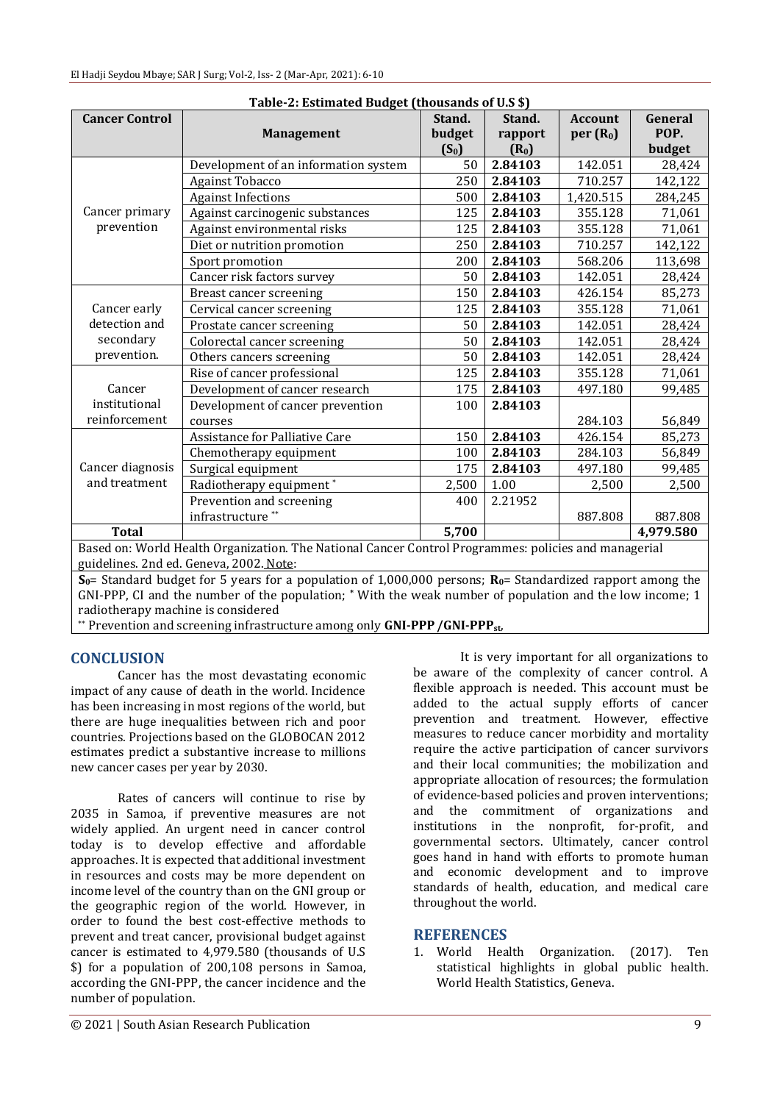| Table-2: Estimated Budget (thousands of U.S \$)                                                      |                                      |         |                   |                      |           |  |  |  |
|------------------------------------------------------------------------------------------------------|--------------------------------------|---------|-------------------|----------------------|-----------|--|--|--|
| <b>Cancer Control</b>                                                                                |                                      | Stand.  | Stand.            | <b>Account</b>       | General   |  |  |  |
|                                                                                                      | <b>Management</b>                    | budget  | rapport           | per(R <sub>0</sub> ) | POP.      |  |  |  |
|                                                                                                      |                                      | $(S_0)$ | (R <sub>0</sub> ) |                      | budget    |  |  |  |
| Cancer primary<br>prevention                                                                         | Development of an information system | 50      | 2.84103           | 142.051              | 28,424    |  |  |  |
|                                                                                                      | Against Tobacco                      | 250     | 2.84103           | 710.257              | 142,122   |  |  |  |
|                                                                                                      | <b>Against Infections</b>            | 500     | 2.84103           | 1,420.515            | 284,245   |  |  |  |
|                                                                                                      | Against carcinogenic substances      | 125     | 2.84103           | 355.128              | 71,061    |  |  |  |
|                                                                                                      | Against environmental risks          | 125     | 2.84103           | 355.128              | 71,061    |  |  |  |
|                                                                                                      | Diet or nutrition promotion          | 250     | 2.84103           | 710.257              | 142,122   |  |  |  |
|                                                                                                      | Sport promotion                      | 200     | 2.84103           | 568.206              | 113,698   |  |  |  |
|                                                                                                      | Cancer risk factors survey           | 50      | 2.84103           | 142.051              | 28,424    |  |  |  |
| Cancer early<br>detection and<br>secondary<br>prevention.                                            | Breast cancer screening              | 150     | 2.84103           | 426.154              | 85,273    |  |  |  |
|                                                                                                      | Cervical cancer screening            | 125     | 2.84103           | 355.128              | 71,061    |  |  |  |
|                                                                                                      | Prostate cancer screening            | 50      | 2.84103           | 142.051              | 28,424    |  |  |  |
|                                                                                                      | Colorectal cancer screening          | 50      | 2.84103           | 142.051              | 28,424    |  |  |  |
|                                                                                                      | Others cancers screening             | 50      | 2.84103           | 142.051              | 28,424    |  |  |  |
| Cancer<br>institutional<br>reinforcement                                                             | Rise of cancer professional          | 125     | 2.84103           | 355.128              | 71,061    |  |  |  |
|                                                                                                      | Development of cancer research       | 175     | 2.84103           | 497.180              | 99,485    |  |  |  |
|                                                                                                      | Development of cancer prevention     | 100     | 2.84103           |                      |           |  |  |  |
|                                                                                                      | courses                              |         |                   | 284.103              | 56,849    |  |  |  |
| Cancer diagnosis<br>and treatment                                                                    | Assistance for Palliative Care       | 150     | 2.84103           | 426.154              | 85,273    |  |  |  |
|                                                                                                      | Chemotherapy equipment               | 100     | 2.84103           | 284.103              | 56,849    |  |  |  |
|                                                                                                      | Surgical equipment                   | 175     | 2.84103           | 497.180              | 99,485    |  |  |  |
|                                                                                                      | Radiotherapy equipment*              | 2,500   | 1.00              | 2,500                | 2,500     |  |  |  |
|                                                                                                      | Prevention and screening             | 400     | 2.21952           |                      |           |  |  |  |
|                                                                                                      | infrastructure <sup>**</sup>         |         |                   | 887.808              | 887.808   |  |  |  |
| <b>Total</b>                                                                                         |                                      | 5,700   |                   |                      | 4,979.580 |  |  |  |
| Rased on: World Health Organization, The National Cancer Control Programmes: policies and managerial |                                      |         |                   |                      |           |  |  |  |

**Table-2: Estimated Budget (thousands of U.S \$)**

Based on: World Health Organization. The National Cancer Control Programmes: policies and managerial guidelines. 2nd ed. Geneva, 2002. Note:

**S0**= Standard budget for 5 years for a population of 1,000,000 persons; **R0**= Standardized rapport among the GNI-PPP, CI and the number of the population; **\*** With the weak number of population and the low income; 1 radiotherapy machine is considered

\*\* Prevention and screening infrastructure among only **GNI-PPP/GNI-PPPst**,

## **CONCLUSION**

Cancer has the most devastating economic impact of any cause of death in the world. Incidence has been increasing in most regions of the world, but there are huge inequalities between rich and poor countries. Projections based on the GLOBOCAN 2012 estimates predict a substantive increase to millions new cancer cases per year by 2030.

Rates of cancers will continue to rise by 2035 in Samoa, if preventive measures are not widely applied. An urgent need in cancer control today is to develop effective and affordable approaches. It is expected that additional investment in resources and costs may be more dependent on income level of the country than on the GNI group or the geographic region of the world. However, in order to found the best cost-effective methods to prevent and treat cancer, provisional budget against cancer is estimated to 4,979.580 (thousands of U.S \$) for a population of 200,108 persons in Samoa, according the GNI-PPP, the cancer incidence and the number of population.

It is very important for all organizations to be aware of the complexity of cancer control. A flexible approach is needed. This account must be added to the actual supply efforts of cancer prevention and treatment. However, effective measures to reduce cancer morbidity and mortality require the active participation of cancer survivors and their local communities; the mobilization and appropriate allocation of resources; the formulation of evidence-based policies and proven interventions; and the commitment of organizations and institutions in the nonprofit, for-profit, and governmental sectors. Ultimately, cancer control goes hand in hand with efforts to promote human and economic development and to improve standards of health, education, and medical care throughout the world.

#### **REFERENCES**

1. World Health Organization. (2017). Ten statistical highlights in global public health. World Health Statistics, Geneva.